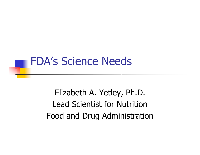#### FDA's Science Needs

Elizabeth A. Yetley, Ph.D. Lead Scientist for NutritionFood and Drug Administration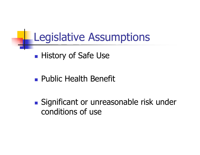#### Legislative Assumptions

**History of Safe Use** 

**Public Health Benefit** 

**Significant or unreasonable risk under** conditions of use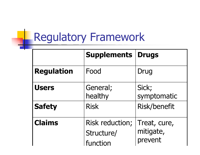# Regulatory Framework

|                   | <b>Supplements</b>                               | <b>Drugs</b>                         |
|-------------------|--------------------------------------------------|--------------------------------------|
| <b>Regulation</b> | Food                                             | Drug                                 |
| <b>Users</b>      | General;<br>healthy                              | Sick;<br>symptomatic                 |
| <b>Safety</b>     | <b>Risk</b>                                      | <b>Risk/benefit</b>                  |
| <b>Claims</b>     | <b>Risk reduction;</b><br>Structure/<br>function | Treat, cure,<br>mitigate,<br>prevent |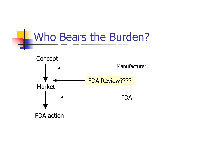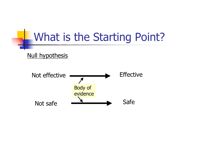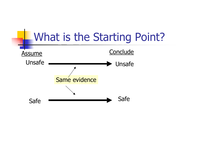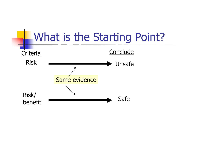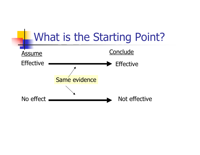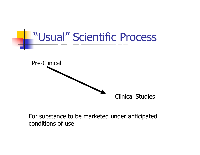

For substance to be marketed under anticipated conditions of use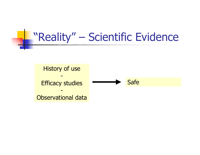#### "Reality" – Scientific Evidence

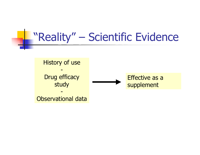#### "Reality" – Scientific Evidence

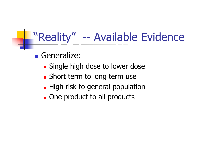#### "Reality" -- Available Evidence

**Generalize:** 

- **Single high dose to lower dose**
- **Short term to long term use**
- **High risk to general population**
- **Quarta Dividendiary Conect products**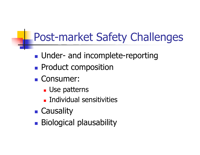## Post-market Safety Challenges

- **Under- and incomplete-reporting**
- **Product composition**
- Consumer:
	- **L** Use patterns
	- **Individual sensitivities**
- **E** Causality
- **Biological plausability**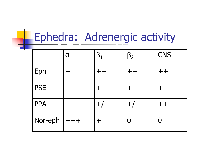# **Ephedra: Adrenergic activity**

|            | Π      | $\boldsymbol{\beta}_1$ | $\beta_2$ | <b>CNS</b>                     |
|------------|--------|------------------------|-----------|--------------------------------|
| Eph        |        | $++$                   | $+ +$     | $\boldsymbol{+}\boldsymbol{+}$ |
| <b>PSE</b> |        | ┿                      | ┿         | ┿                              |
| <b>PPA</b> | $+ +$  | $+/-$                  | $+/-$     | $\boldsymbol{++}$              |
| Nor-eph    | $ +++$ | ╈                      |           |                                |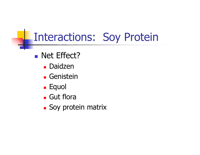## Interactions: Soy Protein

- **Net Effect?** 
	- **Daidzen**
	- **E** Genistein
	- **Equol**
	- Gut flora
	- **Soy protein matrix**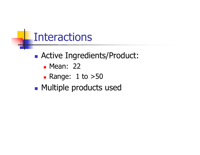

- Active Ingredients/Product:
	- **Mean: 22**
	- Range: 1 to >50
- **Multiple products used**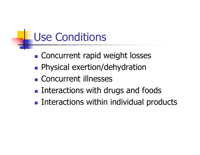## Use Conditions

- **Concurrent rapid weight losses**
- **Physical exertion/dehydration**
- **E** Concurrent illnesses
- **Interactions with drugs and foods**
- **Interactions within individual products**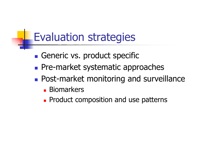## Evaluation strategies

- **Generic vs. product specific**
- **Pre-market systematic approaches**
- **Post-market monitoring and surveillance** 
	- **Biomarkers**
	- **Product composition and use patterns**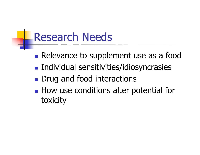### Research Needs

- **Relevance to supplement use as a food**
- **Individual sensitivities/idiosyncrasies**
- Drug and food interactions
- **How use conditions alter potential for** toxicity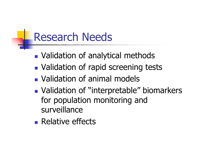## Research Needs

- **Nalidation of analytical methods**
- **Nalidation of rapid screening tests**
- **Nalidation of animal models**
- **Nalidation of "interpretable" biomarkers** for population monitoring and surveillance
- **Relative effects**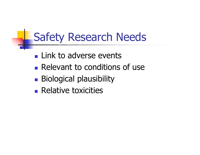## Safety Research Needs

- **Link to adverse events**
- **Relevant to conditions of use**
- **Biological plausibility**
- **Relative toxicities**